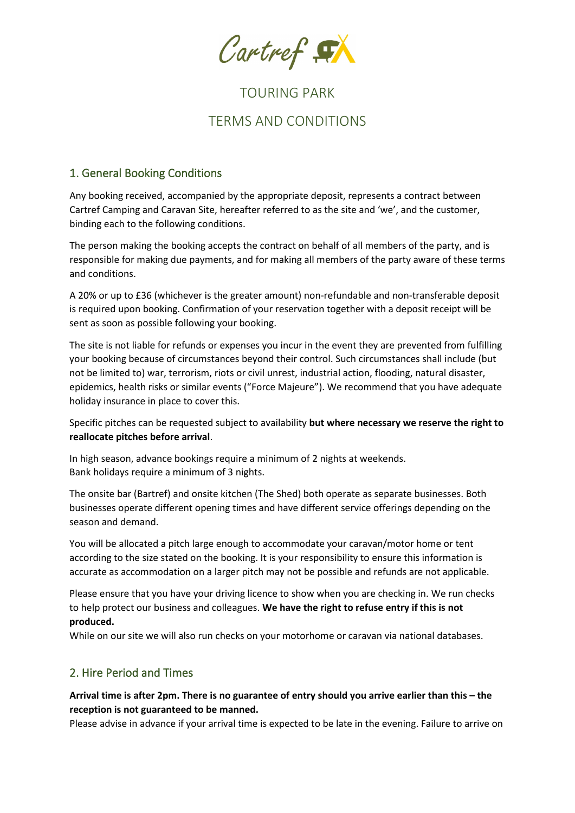Cartref EX

# TOURING PARK

# TERMS AND CONDITIONS

# 1. General Booking Conditions

Any booking received, accompanied by the appropriate deposit, represents a contract between Cartref Camping and Caravan Site, hereafter referred to as the site and 'we', and the customer, binding each to the following conditions.

The person making the booking accepts the contract on behalf of all members of the party, and is responsible for making due payments, and for making all members of the party aware of these terms and conditions.

A 20% or up to £36 (whichever is the greater amount) non-refundable and non-transferable deposit is required upon booking. Confirmation of your reservation together with a deposit receipt will be sent as soon as possible following your booking.

The site is not liable for refunds or expenses you incur in the event they are prevented from fulfilling your booking because of circumstances beyond their control. Such circumstances shall include (but not be limited to) war, terrorism, riots or civil unrest, industrial action, flooding, natural disaster, epidemics, health risks or similar events ("Force Majeure"). We recommend that you have adequate holiday insurance in place to cover this.

Specific pitches can be requested subject to availability **but where necessary we reserve the right to reallocate pitches before arrival**.

In high season, advance bookings require a minimum of 2 nights at weekends. Bank holidays require a minimum of 3 nights.

The onsite bar (Bartref) and onsite kitchen (The Shed) both operate as separate businesses. Both businesses operate different opening times and have different service offerings depending on the season and demand.

You will be allocated a pitch large enough to accommodate your caravan/motor home or tent according to the size stated on the booking. It is your responsibility to ensure this information is accurate as accommodation on a larger pitch may not be possible and refunds are not applicable.

Please ensure that you have your driving licence to show when you are checking in. We run checks to help protect our business and colleagues. **We have the right to refuse entry if this is not produced.**

While on our site we will also run checks on your motorhome or caravan via national databases.

# 2. Hire Period and Times

**Arrival time is after 2pm. There is no guarantee of entry should you arrive earlier than this – the reception is not guaranteed to be manned.**

Please advise in advance if your arrival time is expected to be late in the evening. Failure to arrive on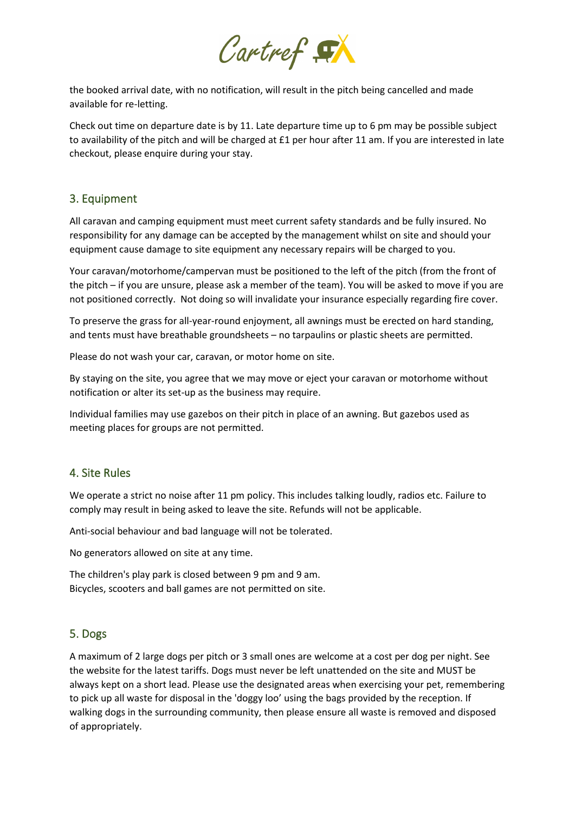

the booked arrival date, with no notification, will result in the pitch being cancelled and made available for re-letting.

Check out time on departure date is by 11. Late departure time up to 6 pm may be possible subject to availability of the pitch and will be charged at £1 per hour after 11 am. If you are interested in late checkout, please enquire during your stay.

#### 3. Equipment

All caravan and camping equipment must meet current safety standards and be fully insured. No responsibility for any damage can be accepted by the management whilst on site and should your equipment cause damage to site equipment any necessary repairs will be charged to you.

Your caravan/motorhome/campervan must be positioned to the left of the pitch (from the front of the pitch – if you are unsure, please ask a member of the team). You will be asked to move if you are not positioned correctly. Not doing so will invalidate your insurance especially regarding fire cover.

To preserve the grass for all-year-round enjoyment, all awnings must be erected on hard standing, and tents must have breathable groundsheets – no tarpaulins or plastic sheets are permitted.

Please do not wash your car, caravan, or motor home on site.

By staying on the site, you agree that we may move or eject your caravan or motorhome without notification or alter its set-up as the business may require.

Individual families may use gazebos on their pitch in place of an awning. But gazebos used as meeting places for groups are not permitted.

#### 4. Site Rules

We operate a strict no noise after 11 pm policy. This includes talking loudly, radios etc. Failure to comply may result in being asked to leave the site. Refunds will not be applicable.

Anti-social behaviour and bad language will not be tolerated.

No generators allowed on site at any time.

The children's play park is closed between 9 pm and 9 am. Bicycles, scooters and ball games are not permitted on site.

#### 5. Dogs

A maximum of 2 large dogs per pitch or 3 small ones are welcome at a cost per dog per night. See the website for the latest tariffs. Dogs must never be left unattended on the site and MUST be always kept on a short lead. Please use the designated areas when exercising your pet, remembering to pick up all waste for disposal in the 'doggy loo' using the bags provided by the reception. If walking dogs in the surrounding community, then please ensure all waste is removed and disposed of appropriately.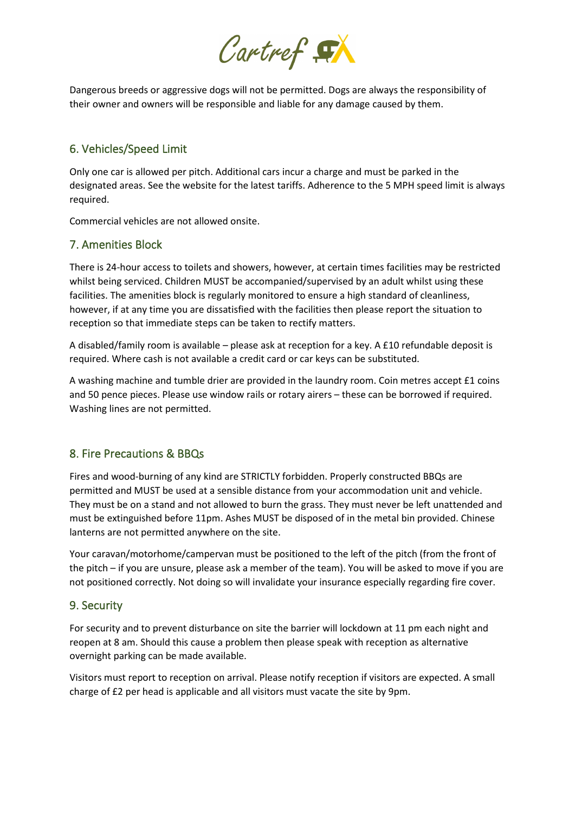

Dangerous breeds or aggressive dogs will not be permitted. Dogs are always the responsibility of their owner and owners will be responsible and liable for any damage caused by them.

# 6. Vehicles/Speed Limit

Only one car is allowed per pitch. Additional cars incur a charge and must be parked in the designated areas. See the website for the latest tariffs. Adherence to the 5 MPH speed limit is always required.

Commercial vehicles are not allowed onsite.

## 7. Amenities Block

There is 24-hour access to toilets and showers, however, at certain times facilities may be restricted whilst being serviced. Children MUST be accompanied/supervised by an adult whilst using these facilities. The amenities block is regularly monitored to ensure a high standard of cleanliness, however, if at any time you are dissatisfied with the facilities then please report the situation to reception so that immediate steps can be taken to rectify matters.

A disabled/family room is available – please ask at reception for a key. A £10 refundable deposit is required. Where cash is not available a credit card or car keys can be substituted.

A washing machine and tumble drier are provided in the laundry room. Coin metres accept £1 coins and 50 pence pieces. Please use window rails or rotary airers – these can be borrowed if required. Washing lines are not permitted.

## 8. Fire Precautions & BBQs

Fires and wood-burning of any kind are STRICTLY forbidden. Properly constructed BBQs are permitted and MUST be used at a sensible distance from your accommodation unit and vehicle. They must be on a stand and not allowed to burn the grass. They must never be left unattended and must be extinguished before 11pm. Ashes MUST be disposed of in the metal bin provided. Chinese lanterns are not permitted anywhere on the site.

Your caravan/motorhome/campervan must be positioned to the left of the pitch (from the front of the pitch – if you are unsure, please ask a member of the team). You will be asked to move if you are not positioned correctly. Not doing so will invalidate your insurance especially regarding fire cover.

## 9. Security

For security and to prevent disturbance on site the barrier will lockdown at 11 pm each night and reopen at 8 am. Should this cause a problem then please speak with reception as alternative overnight parking can be made available.

Visitors must report to reception on arrival. Please notify reception if visitors are expected. A small charge of £2 per head is applicable and all visitors must vacate the site by 9pm.